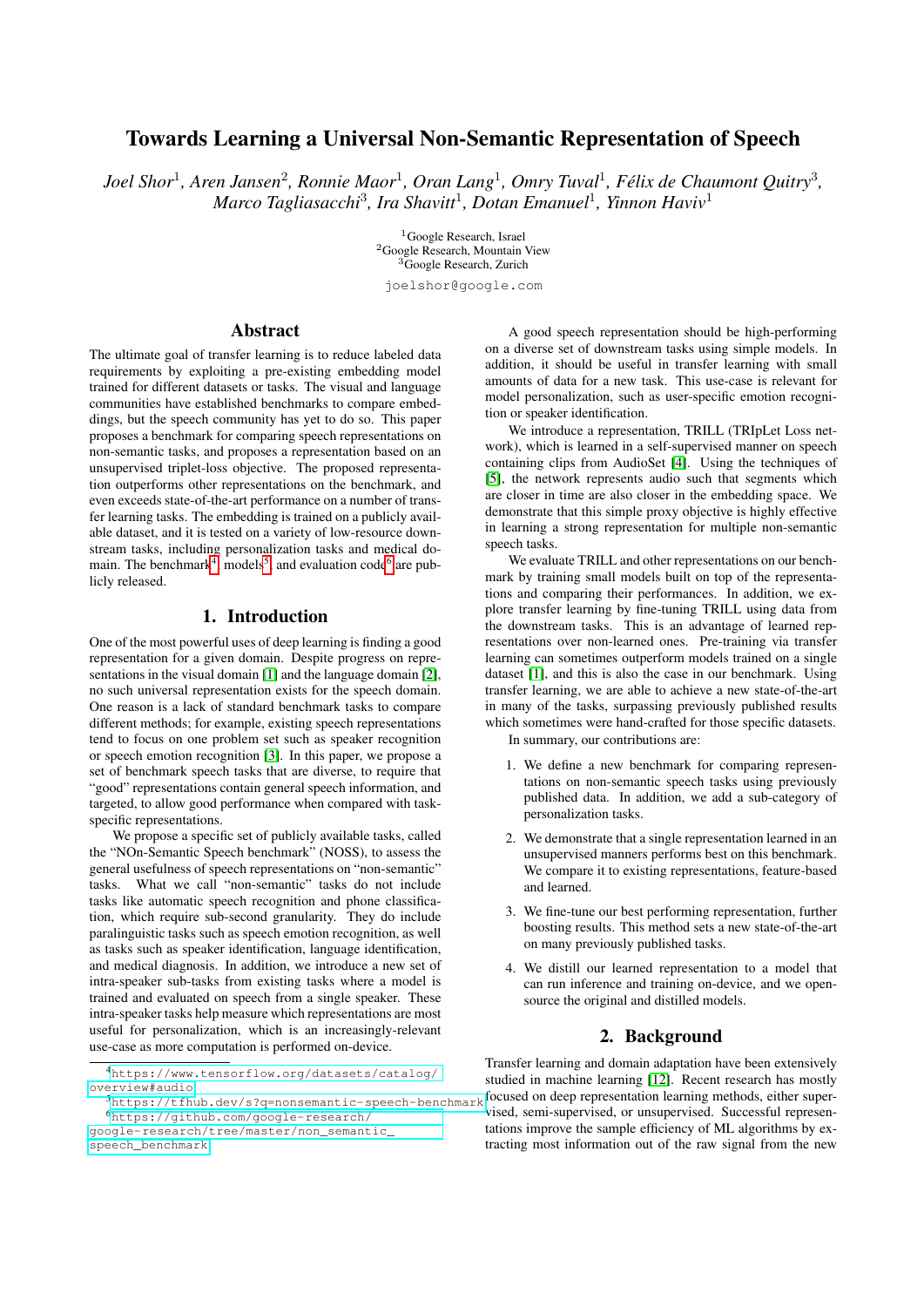# Towards Learning a Universal Non-Semantic Representation of Speech

Joel Shor<sup>1</sup>, Aren Jansen<sup>2</sup>, Ronnie Maor<sup>1</sup>, Oran Lang<sup>1</sup>, Omry Tuval<sup>1</sup>, Félix de Chaumont Quitry<sup>3</sup>, *Marco Tagliasacchi*<sup>3</sup> *, Ira Shavitt*<sup>1</sup> *, Dotan Emanuel*<sup>1</sup> *, Yinnon Haviv*<sup>1</sup>

> <sup>1</sup>Google Research, Israel <sup>2</sup>Google Research, Mountain View <sup>3</sup>Google Research, Zurich

joelshor@google.com

# Abstract

The ultimate goal of transfer learning is to reduce labeled data requirements by exploiting a pre-existing embedding model trained for different datasets or tasks. The visual and language communities have established benchmarks to compare embeddings, but the speech community has yet to do so. This paper proposes a benchmark for comparing speech representations on non-semantic tasks, and proposes a representation based on an unsupervised triplet-loss objective. The proposed representation outperforms other representations on the benchmark, and even exceeds state-of-the-art performance on a number of transfer learning tasks. The embedding is trained on a publicly available dataset, and it is tested on a variety of low-resource downstream tasks, including personalization tasks and medical do-main. The benchmark<sup>[4](#page-0-0)</sup>, models<sup>[5](#page-0-1)</sup>, and evaluation code<sup>[6](#page-0-2)</sup> are publicly released.

## 1. Introduction

One of the most powerful uses of deep learning is finding a good representation for a given domain. Despite progress on representations in the visual domain [\[1\]](#page-4-0) and the language domain [\[2\]](#page-4-1), no such universal representation exists for the speech domain. One reason is a lack of standard benchmark tasks to compare different methods; for example, existing speech representations tend to focus on one problem set such as speaker recognition or speech emotion recognition [\[3\]](#page-4-2). In this paper, we propose a set of benchmark speech tasks that are diverse, to require that "good" representations contain general speech information, and targeted, to allow good performance when compared with taskspecific representations.

We propose a specific set of publicly available tasks, called the "NOn-Semantic Speech benchmark" (NOSS), to assess the general usefulness of speech representations on "non-semantic" tasks. What we call "non-semantic" tasks do not include tasks like automatic speech recognition and phone classification, which require sub-second granularity. They do include paralinguistic tasks such as speech emotion recognition, as well as tasks such as speaker identification, language identification, and medical diagnosis. In addition, we introduce a new set of intra-speaker sub-tasks from existing tasks where a model is trained and evaluated on speech from a single speaker. These intra-speaker tasks help measure which representations are most useful for personalization, which is an increasingly-relevant use-case as more computation is performed on-device.

[google-research/tree/master/non\\_semantic\\_](https://github.com/google-research/google-research/tree/master/non_semantic_speech_benchmark) [speech\\_benchmark](https://github.com/google-research/google-research/tree/master/non_semantic_speech_benchmark)

A good speech representation should be high-performing on a diverse set of downstream tasks using simple models. In addition, it should be useful in transfer learning with small amounts of data for a new task. This use-case is relevant for model personalization, such as user-specific emotion recognition or speaker identification.

We introduce a representation, TRILL (TRIpLet Loss network), which is learned in a self-supervised manner on speech containing clips from AudioSet [\[4\]](#page-4-3). Using the techniques of [\[5\]](#page-4-4), the network represents audio such that segments which are closer in time are also closer in the embedding space. We demonstrate that this simple proxy objective is highly effective in learning a strong representation for multiple non-semantic speech tasks.

We evaluate TRILL and other representations on our benchmark by training small models built on top of the representations and comparing their performances. In addition, we explore transfer learning by fine-tuning TRILL using data from the downstream tasks. This is an advantage of learned representations over non-learned ones. Pre-training via transfer learning can sometimes outperform models trained on a single dataset [\[1\]](#page-4-0), and this is also the case in our benchmark. Using transfer learning, we are able to achieve a new state-of-the-art in many of the tasks, surpassing previously published results which sometimes were hand-crafted for those specific datasets.

In summary, our contributions are:

- 1. We define a new benchmark for comparing representations on non-semantic speech tasks using previously published data. In addition, we add a sub-category of personalization tasks.
- 2. We demonstrate that a single representation learned in an unsupervised manners performs best on this benchmark. We compare it to existing representations, feature-based and learned.
- 3. We fine-tune our best performing representation, further boosting results. This method sets a new state-of-the-art on many previously published tasks.
- 4. We distill our learned representation to a model that can run inference and training on-device, and we opensource the original and distilled models.

### 2. Background

<span id="page-0-0"></span><sup>5</sup><https://tfhub.dev/s?q=nonsemantic-speech-benchmark> focused on deep representation learning methods, either super-Transfer learning and domain adaptation have been extensively studied in machine learning [\[12\]](#page-4-5). Recent research has mostly vised, semi-supervised, or unsupervised. Successful representations improve the sample efficiency of ML algorithms by extracting most information out of the raw signal from the new

<sup>4</sup>[https://www.tensorflow.org/datasets/catalog/](https://www.tensorflow.org/datasets/catalog/overview#audio) [overview#audio](https://www.tensorflow.org/datasets/catalog/overview#audio)

<span id="page-0-2"></span><span id="page-0-1"></span><sup>6</sup>[https://github.com/google-research/](https://github.com/google-research/google-research/tree/master/non_semantic_speech_benchmark)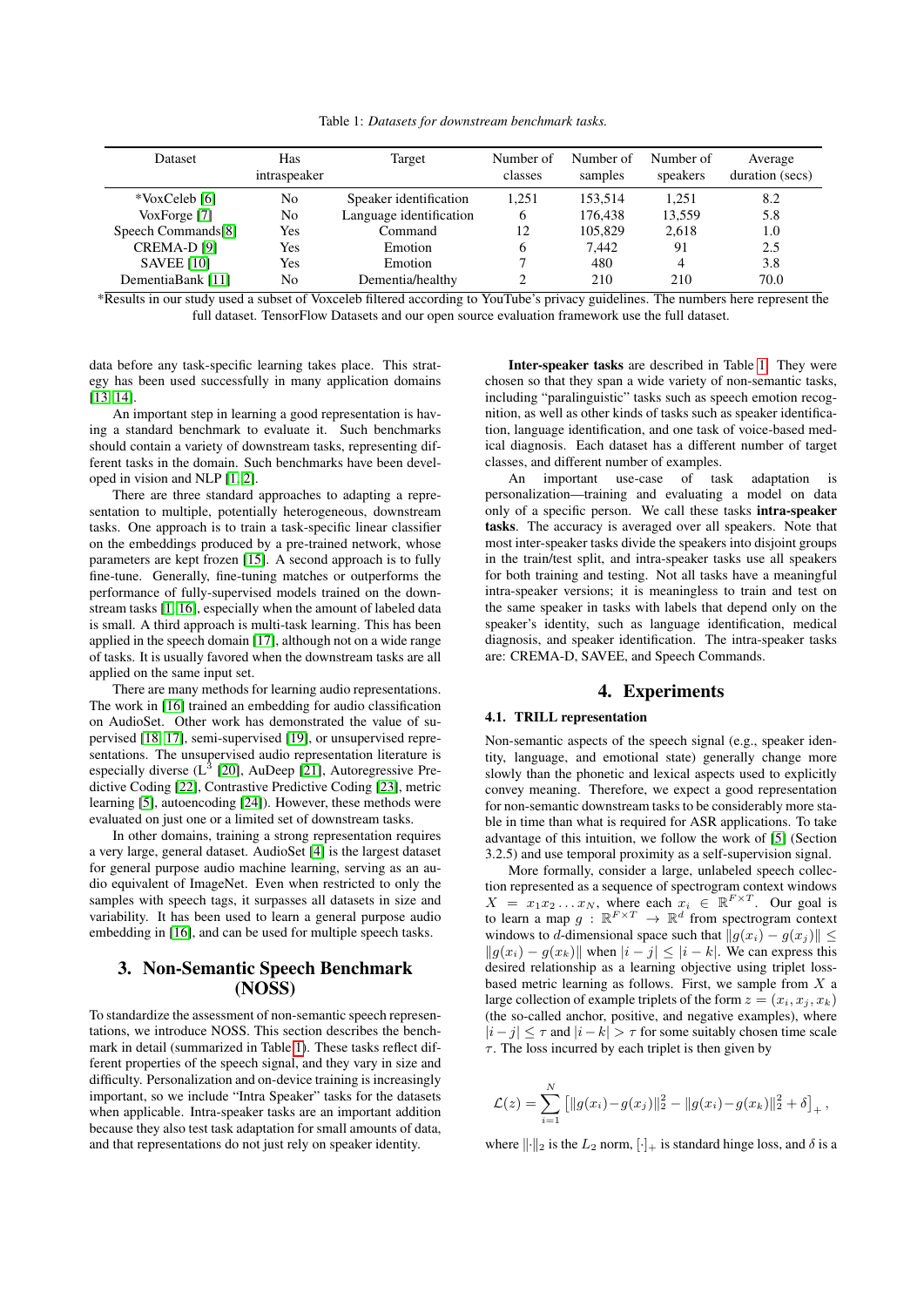Table 1: *Datasets for downstream benchmark tasks.*

<span id="page-1-0"></span>

| Dataset                | Has<br>intraspeaker | Target                  | Number of<br>classes | Number of<br>samples | Number of<br>speakers | Average<br>duration (secs) |
|------------------------|---------------------|-------------------------|----------------------|----------------------|-----------------------|----------------------------|
| *VoxCeleb [6]          | No                  | Speaker identification  | 1.251                | 153.514              | 1.251                 | 8.2                        |
| VoxForge [7]           | No                  | Language identification | <sub>0</sub>         | 176.438              | 13,559                | 5.8                        |
| Speech Commands[8]     | Yes                 | Command                 | 12                   | 105,829              | 2,618                 | 1.0                        |
| CREMA-D <sub>[9]</sub> | Yes                 | Emotion                 | 6                    | 7.442                | 91                    | 2.5                        |
| <b>SAVEE [10]</b>      | Yes                 | Emotion                 |                      | 480                  | 4                     | 3.8                        |
| DementiaBank [11]      | No                  | Dementia/healthy        |                      | 210                  | 210                   | 70.0                       |

\*Results in our study used a subset of Voxceleb filtered according to YouTube's privacy guidelines. The numbers here represent the full dataset. TensorFlow Datasets and our open source evaluation framework use the full dataset.

data before any task-specific learning takes place. This strategy has been used successfully in many application domains [\[13,](#page-4-12) [14\]](#page-4-13).

An important step in learning a good representation is having a standard benchmark to evaluate it. Such benchmarks should contain a variety of downstream tasks, representing different tasks in the domain. Such benchmarks have been developed in vision and NLP [\[1,](#page-4-0) [2\]](#page-4-1).

There are three standard approaches to adapting a representation to multiple, potentially heterogeneous, downstream tasks. One approach is to train a task-specific linear classifier on the embeddings produced by a pre-trained network, whose parameters are kept frozen [\[15\]](#page-4-14). A second approach is to fully fine-tune. Generally, fine-tuning matches or outperforms the performance of fully-supervised models trained on the downstream tasks [\[1,](#page-4-0) [16\]](#page-4-15), especially when the amount of labeled data is small. A third approach is multi-task learning. This has been applied in the speech domain [\[17\]](#page-4-16), although not on a wide range of tasks. It is usually favored when the downstream tasks are all applied on the same input set.

There are many methods for learning audio representations. The work in [\[16\]](#page-4-15) trained an embedding for audio classification on AudioSet. Other work has demonstrated the value of supervised [\[18,](#page-4-17) [17\]](#page-4-16), semi-supervised [\[19\]](#page-4-18), or unsupervised representations. The unsupervised audio representation literature is especially diverse  $(L^3 \t[20], A$  $(L^3 \t[20], A$  $(L^3 \t[20], A$ uDeep  $[21]$ , Autoregressive Predictive Coding [\[22\]](#page-4-21), Contrastive Predictive Coding [\[23\]](#page-4-22), metric learning [\[5\]](#page-4-4), autoencoding [\[24\]](#page-4-23)). However, these methods were evaluated on just one or a limited set of downstream tasks.

In other domains, training a strong representation requires a very large, general dataset. AudioSet [\[4\]](#page-4-3) is the largest dataset for general purpose audio machine learning, serving as an audio equivalent of ImageNet. Even when restricted to only the samples with speech tags, it surpasses all datasets in size and variability. It has been used to learn a general purpose audio embedding in [\[16\]](#page-4-15), and can be used for multiple speech tasks.

# <span id="page-1-1"></span>3. Non-Semantic Speech Benchmark (NOSS)

To standardize the assessment of non-semantic speech representations, we introduce NOSS. This section describes the benchmark in detail (summarized in Table [1\)](#page-1-0). These tasks reflect different properties of the speech signal, and they vary in size and difficulty. Personalization and on-device training is increasingly important, so we include "Intra Speaker" tasks for the datasets when applicable. Intra-speaker tasks are an important addition because they also test task adaptation for small amounts of data, and that representations do not just rely on speaker identity.

Inter-speaker tasks are described in Table [1.](#page-1-0) They were chosen so that they span a wide variety of non-semantic tasks, including "paralinguistic" tasks such as speech emotion recognition, as well as other kinds of tasks such as speaker identification, language identification, and one task of voice-based medical diagnosis. Each dataset has a different number of target classes, and different number of examples.

An important use-case of task adaptation is personalization—training and evaluating a model on data only of a specific person. We call these tasks intra-speaker tasks. The accuracy is averaged over all speakers. Note that most inter-speaker tasks divide the speakers into disjoint groups in the train/test split, and intra-speaker tasks use all speakers for both training and testing. Not all tasks have a meaningful intra-speaker versions; it is meaningless to train and test on the same speaker in tasks with labels that depend only on the speaker's identity, such as language identification, medical diagnosis, and speaker identification. The intra-speaker tasks are: CREMA-D, SAVEE, and Speech Commands.

# 4. Experiments

### <span id="page-1-2"></span>4.1. TRILL representation

Non-semantic aspects of the speech signal (e.g., speaker identity, language, and emotional state) generally change more slowly than the phonetic and lexical aspects used to explicitly convey meaning. Therefore, we expect a good representation for non-semantic downstream tasks to be considerably more stable in time than what is required for ASR applications. To take advantage of this intuition, we follow the work of [\[5\]](#page-4-4) (Section 3.2.5) and use temporal proximity as a self-supervision signal.

More formally, consider a large, unlabeled speech collection represented as a sequence of spectrogram context windows  $X = x_1 x_2 ... x_N$ , where each  $x_i \in \mathbb{R}^{F \times T}$ . Our goal is to learn a map  $g : \mathbb{R}^{F \times T} \to \mathbb{R}^d$  from spectrogram context windows to d-dimensional space such that  $||g(x_i) - g(x_j)|| \le$  $||g(x_i) - g(x_k)||$  when  $|i - j| \leq |i - k|$ . We can express this desired relationship as a learning objective using triplet lossbased metric learning as follows. First, we sample from  $X$  a large collection of example triplets of the form  $z = (x_i, x_j, x_k)$ (the so-called anchor, positive, and negative examples), where  $|i-j| < \tau$  and  $|i-k| > \tau$  for some suitably chosen time scale  $\tau$ . The loss incurred by each triplet is then given by

$$
\mathcal{L}(z) = \sum_{i=1}^N \left[ ||g(x_i) - g(x_j)||_2^2 - ||g(x_i) - g(x_k)||_2^2 + \delta \right]_+,
$$

where  $\|\cdot\|_2$  is the  $L_2$  norm,  $[\cdot]_+$  is standard hinge loss, and  $\delta$  is a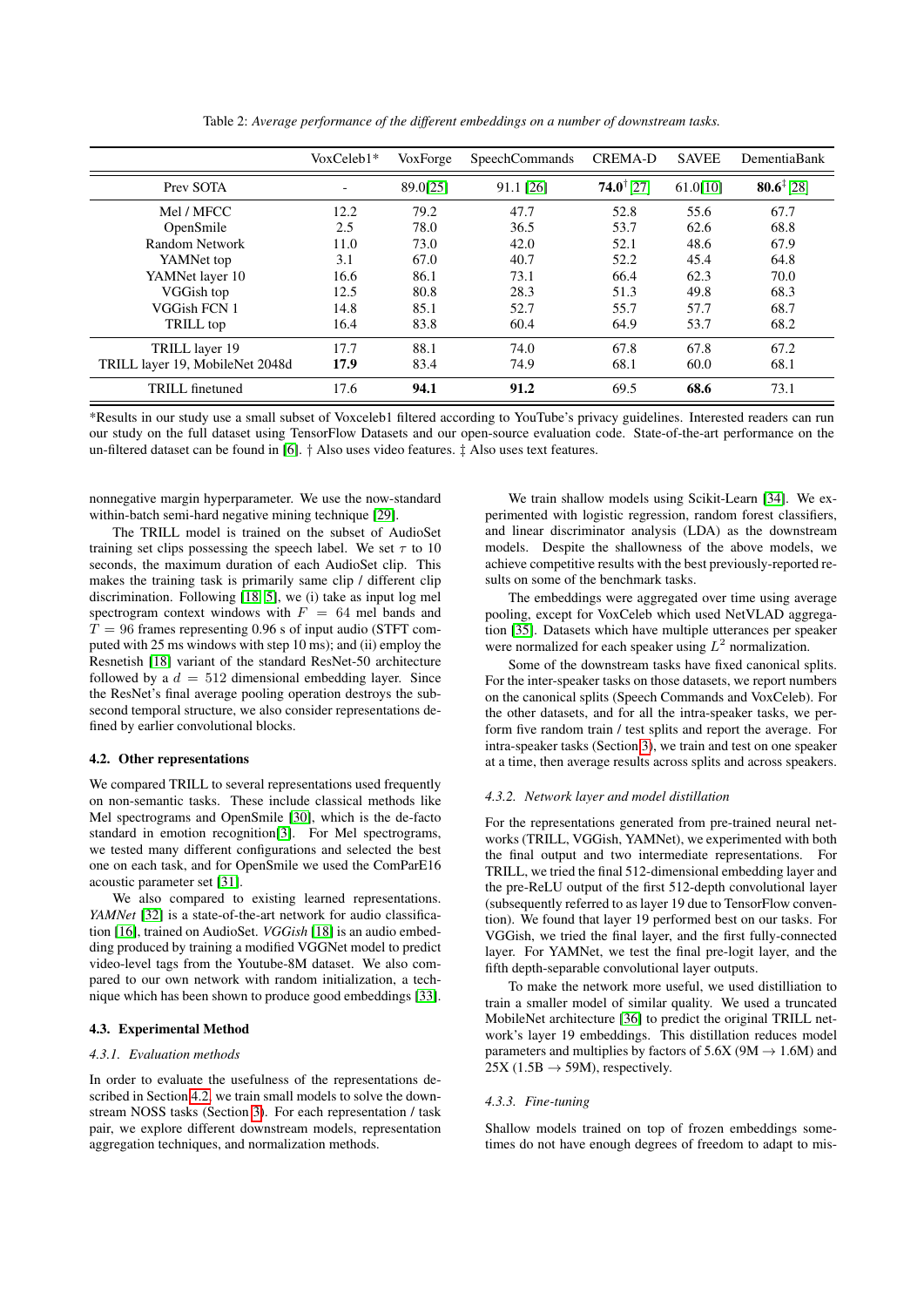<span id="page-2-1"></span>

|                                 | $VoxCeleb1*$ | VoxForge | <b>SpeechCommands</b> | <b>CREMA-D</b>           | <b>SAVEE</b> | DementiaBank          |
|---------------------------------|--------------|----------|-----------------------|--------------------------|--------------|-----------------------|
| Prev SOTA                       |              | 89.0[25] | 91.1 [26]             | $74.0$ <sup>†</sup> [27] | 61.0[10]     | $80.6^{\ddagger}[28]$ |
| Mel / MFCC                      | 12.2         | 79.2     | 47.7                  | 52.8                     | 55.6         | 67.7                  |
| OpenSmile                       | 2.5          | 78.0     | 36.5                  | 53.7                     | 62.6         | 68.8                  |
| Random Network                  | 11.0         | 73.0     | 42.0                  | 52.1                     | 48.6         | 67.9                  |
| YAMNet top                      | 3.1          | 67.0     | 40.7                  | 52.2                     | 45.4         | 64.8                  |
| YAMNet layer 10                 | 16.6         | 86.1     | 73.1                  | 66.4                     | 62.3         | 70.0                  |
| VGGish top                      | 12.5         | 80.8     | 28.3                  | 51.3                     | 49.8         | 68.3                  |
| VGGish FCN 1                    | 14.8         | 85.1     | 52.7                  | 55.7                     | 57.7         | 68.7                  |
| TRILL top                       | 16.4         | 83.8     | 60.4                  | 64.9                     | 53.7         | 68.2                  |
| TRILL layer 19                  | 17.7         | 88.1     | 74.0                  | 67.8                     | 67.8         | 67.2                  |
| TRILL layer 19, MobileNet 2048d | 17.9         | 83.4     | 74.9                  | 68.1                     | 60.0         | 68.1                  |
| TRILL finetuned                 | 17.6         | 94.1     | 91.2                  | 69.5                     | 68.6         | 73.1                  |

Table 2: *Average performance of the different embeddings on a number of downstream tasks.*

\*Results in our study use a small subset of Voxceleb1 filtered according to YouTube's privacy guidelines. Interested readers can run our study on the full dataset using TensorFlow Datasets and our open-source evaluation code. State-of-the-art performance on the un-filtered dataset can be found in [\[6\]](#page-4-6). † Also uses video features. ‡ Also uses text features.

nonnegative margin hyperparameter. We use the now-standard within-batch semi-hard negative mining technique [\[29\]](#page-4-28).

The TRILL model is trained on the subset of AudioSet training set clips possessing the speech label. We set  $\tau$  to 10 seconds, the maximum duration of each AudioSet clip. This makes the training task is primarily same clip / different clip discrimination. Following [\[18,](#page-4-17) [5\]](#page-4-4), we (i) take as input log mel spectrogram context windows with  $F = 64$  mel bands and  $T = 96$  frames representing 0.96 s of input audio (STFT computed with 25 ms windows with step 10 ms); and (ii) employ the Resnetish [\[18\]](#page-4-17) variant of the standard ResNet-50 architecture followed by a  $d = 512$  dimensional embedding layer. Since the ResNet's final average pooling operation destroys the subsecond temporal structure, we also consider representations defined by earlier convolutional blocks.

#### <span id="page-2-0"></span>4.2. Other representations

We compared TRILL to several representations used frequently on non-semantic tasks. These include classical methods like Mel spectrograms and OpenSmile [\[30\]](#page-4-29), which is the de-facto standard in emotion recognition[\[3\]](#page-4-2). For Mel spectrograms, we tested many different configurations and selected the best one on each task, and for OpenSmile we used the ComParE16 acoustic parameter set [\[31\]](#page-4-30).

We also compared to existing learned representations. *YAMNet* [\[32\]](#page-4-31) is a state-of-the-art network for audio classification [\[16\]](#page-4-15), trained on AudioSet. *VGGish* [\[18\]](#page-4-17) is an audio embedding produced by training a modified VGGNet model to predict video-level tags from the Youtube-8M dataset. We also compared to our own network with random initialization, a technique which has been shown to produce good embeddings [\[33\]](#page-4-32).

### 4.3. Experimental Method

### *4.3.1. Evaluation methods*

In order to evaluate the usefulness of the representations described in Section [4.2,](#page-2-0) we train small models to solve the downstream NOSS tasks (Section [3\)](#page-1-1). For each representation / task pair, we explore different downstream models, representation aggregation techniques, and normalization methods.

We train shallow models using Scikit-Learn [\[34\]](#page-4-33). We experimented with logistic regression, random forest classifiers, and linear discriminator analysis (LDA) as the downstream models. Despite the shallowness of the above models, we achieve competitive results with the best previously-reported results on some of the benchmark tasks.

The embeddings were aggregated over time using average pooling, except for VoxCeleb which used NetVLAD aggregation [\[35\]](#page-4-34). Datasets which have multiple utterances per speaker were normalized for each speaker using  $L^2$  normalization.

Some of the downstream tasks have fixed canonical splits. For the inter-speaker tasks on those datasets, we report numbers on the canonical splits (Speech Commands and VoxCeleb). For the other datasets, and for all the intra-speaker tasks, we perform five random train / test splits and report the average. For intra-speaker tasks (Section [3\)](#page-1-1), we train and test on one speaker at a time, then average results across splits and across speakers.

#### *4.3.2. Network layer and model distillation*

For the representations generated from pre-trained neural networks (TRILL, VGGish, YAMNet), we experimented with both the final output and two intermediate representations. For TRILL, we tried the final 512-dimensional embedding layer and the pre-ReLU output of the first 512-depth convolutional layer (subsequently referred to as layer 19 due to TensorFlow convention). We found that layer 19 performed best on our tasks. For VGGish, we tried the final layer, and the first fully-connected layer. For YAMNet, we test the final pre-logit layer, and the fifth depth-separable convolutional layer outputs.

To make the network more useful, we used distilliation to train a smaller model of similar quality. We used a truncated MobileNet architecture [\[36\]](#page-4-35) to predict the original TRILL network's layer 19 embeddings. This distillation reduces model parameters and multiplies by factors of  $5.6X$  (9M  $\rightarrow$  1.6M) and  $25X (1.5B \rightarrow 59M)$ , respectively.

#### *4.3.3. Fine-tuning*

Shallow models trained on top of frozen embeddings sometimes do not have enough degrees of freedom to adapt to mis-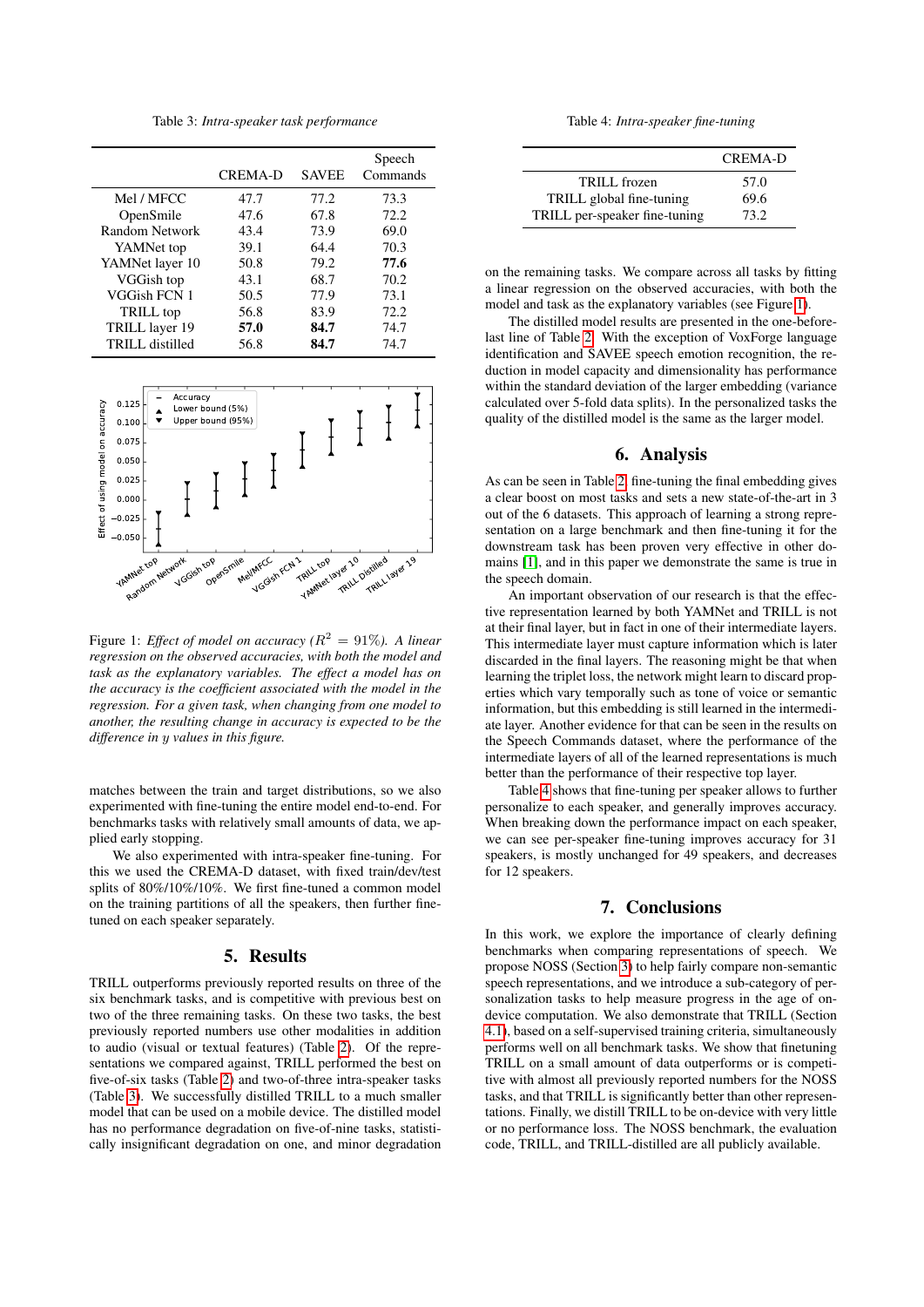Table 3: *Intra-speaker task performance*

<span id="page-3-0"></span>

|                 | <b>CREMA-D</b> | <b>SAVEE</b> | Speech<br>Commands |
|-----------------|----------------|--------------|--------------------|
| Mel / MFCC      | 47.7           | 77.2         | 73.3               |
| OpenSmile       | 47.6           | 67.8         | 72.2               |
| Random Network  | 43.4           | 73.9         | 69.0               |
| YAMNet top      | 39.1           | 64.4         | 70.3               |
| YAMNet layer 10 | 50.8           | 79.2         | 77.6               |
| VGGish top      | 43.1           | 68.7         | 70.2               |
| VGGish FCN 1    | 50.5           | 77.9         | 73.1               |
| TRILL top       | 56.8           | 83.9         | 72.2               |
| TRILL layer 19  | 57.0           | 84.7         | 74.7               |
| TRILL distilled | 56.8           | 84.7         | 74.7               |

<span id="page-3-1"></span>

Figure 1: *Effect of model on accuracy (*R <sup>2</sup> = 91%*). A linear regression on the observed accuracies, with both the model and task as the explanatory variables. The effect a model has on the accuracy is the coefficient associated with the model in the regression. For a given task, when changing from one model to another, the resulting change in accuracy is expected to be the difference in* y *values in this figure.*

matches between the train and target distributions, so we also experimented with fine-tuning the entire model end-to-end. For benchmarks tasks with relatively small amounts of data, we applied early stopping.

We also experimented with intra-speaker fine-tuning. For this we used the CREMA-D dataset, with fixed train/dev/test splits of 80%/10%/10%. We first fine-tuned a common model on the training partitions of all the speakers, then further finetuned on each speaker separately.

### 5. Results

TRILL outperforms previously reported results on three of the six benchmark tasks, and is competitive with previous best on two of the three remaining tasks. On these two tasks, the best previously reported numbers use other modalities in addition to audio (visual or textual features) (Table [2\)](#page-2-1). Of the representations we compared against, TRILL performed the best on five-of-six tasks (Table [2\)](#page-2-1) and two-of-three intra-speaker tasks (Table [3\)](#page-3-0). We successfully distilled TRILL to a much smaller model that can be used on a mobile device. The distilled model has no performance degradation on five-of-nine tasks, statistically insignificant degradation on one, and minor degradation

Table 4: *Intra-speaker fine-tuning*

<span id="page-3-2"></span>

|                               | <b>CREMA-D</b> |
|-------------------------------|----------------|
| TRILL frozen                  | 57.0           |
| TRILL global fine-tuning      | 69.6           |
| TRILL per-speaker fine-tuning | 73.2           |

on the remaining tasks. We compare across all tasks by fitting a linear regression on the observed accuracies, with both the model and task as the explanatory variables (see Figure [1\)](#page-3-1).

The distilled model results are presented in the one-beforelast line of Table [2.](#page-2-1) With the exception of VoxForge language identification and SAVEE speech emotion recognition, the reduction in model capacity and dimensionality has performance within the standard deviation of the larger embedding (variance calculated over 5-fold data splits). In the personalized tasks the quality of the distilled model is the same as the larger model.

## 6. Analysis

As can be seen in Table [2,](#page-2-1) fine-tuning the final embedding gives a clear boost on most tasks and sets a new state-of-the-art in 3 out of the 6 datasets. This approach of learning a strong representation on a large benchmark and then fine-tuning it for the downstream task has been proven very effective in other domains [\[1\]](#page-4-0), and in this paper we demonstrate the same is true in the speech domain.

An important observation of our research is that the effective representation learned by both YAMNet and TRILL is not at their final layer, but in fact in one of their intermediate layers. This intermediate layer must capture information which is later discarded in the final layers. The reasoning might be that when learning the triplet loss, the network might learn to discard properties which vary temporally such as tone of voice or semantic information, but this embedding is still learned in the intermediate layer. Another evidence for that can be seen in the results on the Speech Commands dataset, where the performance of the intermediate layers of all of the learned representations is much better than the performance of their respective top layer.

Table [4](#page-3-2) shows that fine-tuning per speaker allows to further personalize to each speaker, and generally improves accuracy. When breaking down the performance impact on each speaker, we can see per-speaker fine-tuning improves accuracy for 31 speakers, is mostly unchanged for 49 speakers, and decreases for 12 speakers.

# 7. Conclusions

In this work, we explore the importance of clearly defining benchmarks when comparing representations of speech. We propose NOSS (Section [3\)](#page-1-1) to help fairly compare non-semantic speech representations, and we introduce a sub-category of personalization tasks to help measure progress in the age of ondevice computation. We also demonstrate that TRILL (Section [4.1\)](#page-1-2), based on a self-supervised training criteria, simultaneously performs well on all benchmark tasks. We show that finetuning TRILL on a small amount of data outperforms or is competitive with almost all previously reported numbers for the NOSS tasks, and that TRILL is significantly better than other representations. Finally, we distill TRILL to be on-device with very little or no performance loss. The NOSS benchmark, the evaluation code, TRILL, and TRILL-distilled are all publicly available.